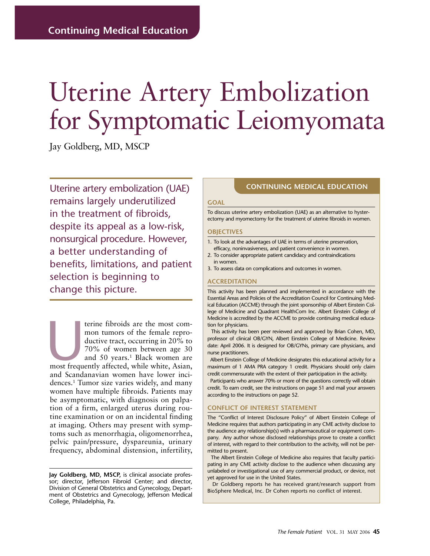# Uterine Artery Embolization for Symptomatic Leiomyomata

Jay Goldberg, MD, MSCP

Uterine artery embolization (UAE) remains largely underutilized in the treatment of fibroids, despite its appeal as a low-risk, nonsurgical procedure. However, a better understanding of benefits, limitations, and patient selection is beginning to change this picture.

terine fibroids are the most com-<br>
mon tumors of the female repro-<br>
ductive tract, occurring in 20% to<br>
70% of women between age 30<br>
and 50 years.<sup>1</sup> Black women are<br>
most frequently affected, while white, Asian, mon tumors of the female reproductive tract, occurring in 20% to 70% of women between age 30 and 50 years.<sup>1</sup> Black women are and Scandanavian women have lower incidences.1 Tumor size varies widely, and many women have multiple fibroids. Patients may be asymptomatic, with diagnosis on palpation of a firm, enlarged uterus during routine examination or on an incidental finding at imaging. Others may present with symptoms such as menorrhagia, oligomenorrhea, pelvic pain/pressure, dyspareunia, urinary frequency, abdominal distension, infertility,

#### **CONTINUING MEDICAL EDUCATION**

#### **GOAL**

To discuss uterine artery embolization (UAE) as an alternative to hysterectomy and myomectomy for the treatment of uterine fibroids in women.

#### **OBJECTIVES**

- 1. To look at the advantages of UAE in terms of uterine preservation, efficacy, noninvasiveness, and patient convenience in women.
- 2. To consider appropriate patient candidacy and contraindications in women.
- 3. To assess data on complications and outcomes in women.

#### **ACCREDITATION**

This activity has been planned and implemented in accordance with the Essential Areas and Policies of the Accreditation Council for Continuing Medical Education (ACCME) through the joint sponsorship of Albert Einstein College of Medicine and Quadrant HealthCom Inc. Albert Einstein College of Medicine is accredited by the ACCME to provide continuing medical education for physicians.

This activity has been peer reviewed and approved by Brian Cohen, MD, professor of clinical OB/GYN, Albert Einstein College of Medicine. Review date: April 2006. It is designed for OB/GYNs, primary care physicians, and nurse practitioners.

Albert Einstein College of Medicine designates this educational activity for a maximum of 1 AMA PRA category 1 credit. Physicians should only claim credit commensurate with the extent of their participation in the activity.

Participants who answer 70% or more of the questions correctly will obtain credit. To earn credit, see the instructions on page 51 and mail your answers according to the instructions on page 52.

#### **CONFLICT OF INTEREST STATEMENT**

The "Conflict of Interest Disclosure Policy" of Albert Einstein College of Medicine requires that authors participating in any CME activity disclose to the audience any relationship(s) with a pharmaceutical or equipment company. Any author whose disclosed relationships prove to create a conflict of interest, with regard to their contribution to the activity, will not be permitted to present.

The Albert Einstein College of Medicine also requires that faculty participating in any CME activity disclose to the audience when discussing any unlabeled or investigational use of any commercial product, or device, not yet approved for use in the United States.

Dr Goldberg reports he has received grant/research support from BioSphere Medical, Inc. Dr Cohen reports no conflict of interest.

**Jay Goldberg, MD, MSCP,** is clinical associate professor; director, Jefferson Fibroid Center; and director, Division of General Obstetrics and Gynecology, Department of Obstetrics and Gynecology, Jefferson Medical College, Philadelphia, Pa.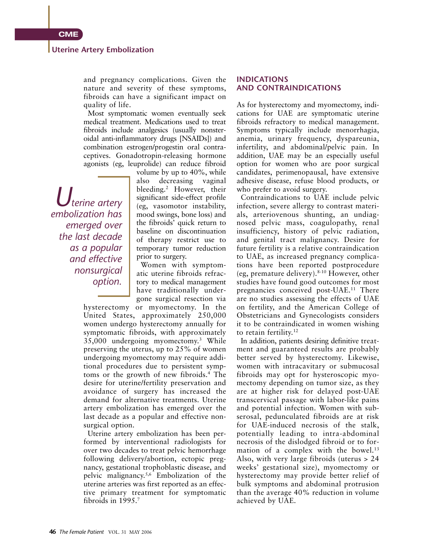#### **Uterine Artery Embolization**

and pregnancy complications. Given the nature and severity of these symptoms, fibroids can have a significant impact on quality of life.

Most symptomatic women eventually seek medical treatment. Medications used to treat fibroids include analgesics (usually nonsteroidal anti-inflammatory drugs [NSAIDs]) and combination estrogen/progestin oral contraceptives. Gonadotropin-releasing hormone agonists (eg, leuprolide) can reduce fibroid

*Uterine artery embolization has emerged over the last decade as a popular and effective nonsurgical option.*

volume by up to 40%, while also decreasing vaginal bleeding.2 However, their significant side-effect profile (eg, vasomotor instability, mood swings, bone loss) and the fibroids' quick return to baseline on discontinuation of therapy restrict use to temporary tumor reduction prior to surgery.

Women with symptomatic uterine fibroids refractory to medical management have traditionally undergone surgical resection via

hysterectomy or myomectomy. In the United States, approximately 250,000 women undergo hysterectomy annually for symptomatic fibroids, with approximately 35,000 undergoing myomectomy.3 While preserving the uterus, up to 25% of women undergoing myomectomy may require additional procedures due to persistent symptoms or the growth of new fibroids.4 The desire for uterine/fertility preservation and avoidance of surgery has increased the demand for alternative treatments. Uterine artery embolization has emerged over the last decade as a popular and effective nonsurgical option.

Uterine artery embolization has been performed by interventional radiologists for over two decades to treat pelvic hemorrhage following delivery/abortion, ectopic pregnancy, gestational trophoblastic disease, and pelvic malignancy.5,6 Embolization of the uterine arteries was first reported as an effective primary treatment for symptomatic fibroids in 1995.7

#### **INDICATIONS AND CONTRAINDICATIONS**

As for hysterectomy and myomectomy, indications for UAE are symptomatic uterine fibroids refractory to medical management. Symptoms typically include menorrhagia, anemia, urinary frequency, dyspareunia, infertility, and abdominal/pelvic pain. In addition, UAE may be an especially useful option for women who are poor surgical candidates, perimenopausal, have extensive adhesive disease, refuse blood products, or who prefer to avoid surgery.

Contraindications to UAE include pelvic infection, severe allergy to contrast materials, arteriovenous shunting, an undiagnosed pelvic mass, coagulopathy, renal insufficiency, history of pelvic radiation, and genital tract malignancy. Desire for future fertility is a relative contraindication to UAE, as increased pregnancy complications have been reported postprocedure (eg, premature delivery).8-10 However, other studies have found good outcomes for most pregnancies conceived post-UAE.11 There are no studies assessing the effects of UAE on fertility, and the American College of Obstetricians and Gynecologists considers it to be contraindicated in women wishing to retain fertility.<sup>12</sup>

In addition, patients desiring definitive treatment and guaranteed results are probably better served by hysterectomy. Likewise, women with intracavitary or submucosal fibroids may opt for hysteroscopic myomectomy depending on tumor size, as they are at higher risk for delayed post-UAE transcervical passage with labor-like pains and potential infection. Women with subserosal, pedunculated fibroids are at risk for UAE-induced necrosis of the stalk, potentially leading to intra-abdominal necrosis of the dislodged fibroid or to formation of a complex with the bowel.<sup>13</sup> Also, with very large fibroids (uterus > 24 weeks' gestational size), myomectomy or hysterectomy may provide better relief of bulk symptoms and abdominal protrusion than the average 40% reduction in volume achieved by UAE.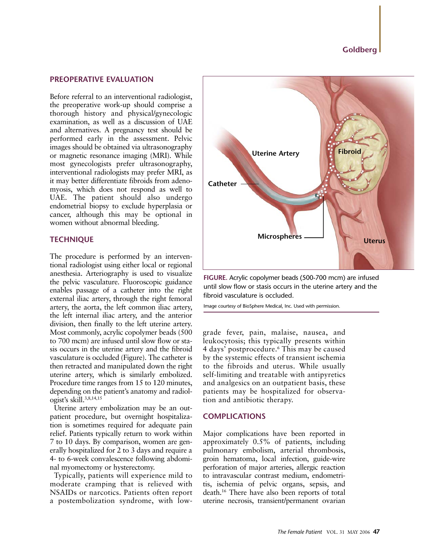### **Goldberg**

#### **PREOPERATIVE EVALUATION**

Before referral to an interventional radiologist, the preoperative work-up should comprise a thorough history and physical/gynecologic examination, as well as a discussion of UAE and alternatives. A pregnancy test should be performed early in the assessment. Pelvic images should be obtained via ultrasonography or magnetic resonance imaging (MRI). While most gynecologists prefer ultrasonography, interventional radiologists may prefer MRI, as it may better differentiate fibroids from adenomyosis, which does not respond as well to UAE. The patient should also undergo endometrial biopsy to exclude hyperplasia or cancer, although this may be optional in women without abnormal bleeding.

#### **TECHNIQUE**

The procedure is performed by an interventional radiologist using either local or regional anesthesia. Arteriography is used to visualize the pelvic vasculature. Fluoroscopic guidance enables passage of a catheter into the right external iliac artery, through the right femoral artery, the aorta, the left common iliac artery, the left internal iliac artery, and the anterior division, then finally to the left uterine artery. Most commonly, acrylic copolymer beads (500 to 700 mcm) are infused until slow flow or stasis occurs in the uterine artery and the fibroid vasculature is occluded (Figure). The catheter is then retracted and manipulated down the right uterine artery, which is similarly embolized. Procedure time ranges from 15 to 120 minutes, depending on the patient's anatomy and radiologist's skill.3,8,14,15

Uterine artery embolization may be an outpatient procedure, but overnight hospitalization is sometimes required for adequate pain relief. Patients typically return to work within 7 to 10 days. By comparison, women are generally hospitalized for 2 to 3 days and require a 4- to 6-week convalescence following abdominal myomectomy or hysterectomy.

Typically, patients will experience mild to moderate cramping that is relieved with NSAIDs or narcotics. Patients often report a postembolization syndrome, with low-



**FIGURE.** Acrylic copolymer beads (500-700 mcm) are infused until slow flow or stasis occurs in the uterine artery and the fibroid vasculature is occluded.

Image courtesy of BioSphere Medical, Inc. Used with permission.

grade fever, pain, malaise, nausea, and leukocytosis; this typically presents within 4 days' postprocedure.6 This may be caused by the systemic effects of transient ischemia to the fibroids and uterus. While usually self-limiting and treatable with antipyretics and analgesics on an outpatient basis, these patients may be hospitalized for observation and antibiotic therapy.

#### **COMPLICATIONS**

Major complications have been reported in approximately 0.5% of patients, including pulmonary embolism, arterial thrombosis, groin hematoma, local infection, guide-wire perforation of major arteries, allergic reaction to intravascular contrast medium, endometritis, ischemia of pelvic organs, sepsis, and death.16 There have also been reports of total uterine necrosis, transient/permanent ovarian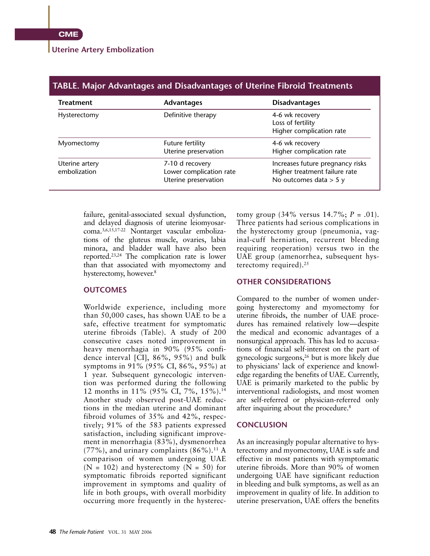#### **Uterine Artery Embolization**

| TABLE. Major Advantages and Disadvantages of Uterine Fibroid Treatments |                                                                    |                                                                                               |
|-------------------------------------------------------------------------|--------------------------------------------------------------------|-----------------------------------------------------------------------------------------------|
| <b>Treatment</b>                                                        | <b>Advantages</b>                                                  | <b>Disadvantages</b>                                                                          |
| Hysterectomy                                                            | Definitive therapy                                                 | 4-6 wk recovery<br>Loss of fertility<br>Higher complication rate                              |
| Myomectomy                                                              | Future fertility<br>Uterine preservation                           | 4-6 wk recovery<br>Higher complication rate                                                   |
| Uterine artery<br>embolization                                          | 7-10 d recovery<br>Lower complication rate<br>Uterine preservation | Increases future pregnancy risks<br>Higher treatment failure rate<br>No outcomes data $>$ 5 y |

failure, genital-associated sexual dysfunction, and delayed diagnosis of uterine leiomyosarcoma.3,6,15,17-22 Nontarget vascular embolizations of the gluteus muscle, ovaries, labia minora, and bladder wall have also been reported.23,24 The complication rate is lower than that associated with myomectomy and hysterectomy, however.<sup>8</sup>

#### **OUTCOMES**

Worldwide experience, including more than 50,000 cases, has shown UAE to be a safe, effective treatment for symptomatic uterine fibroids (Table). A study of 200 consecutive cases noted improvement in heavy menorrhagia in 90% (95% confidence interval [CI], 86%, 95%) and bulk symptoms in 91% (95% CI, 86%, 95%) at 1 year. Subsequent gynecologic intervention was performed during the following 12 months in 11% (95% CI, 7%, 15%).14 Another study observed post-UAE reductions in the median uterine and dominant fibroid volumes of 35% and 42%, respectively; 91% of the 583 patients expressed satisfaction, including significant improvement in menorrhagia (83%), dysmenorrhea  $(77\%)$ , and urinary complaints  $(86\%)$ .<sup>11</sup> A comparison of women undergoing UAE  $(N = 102)$  and hysterectomy  $(N = 50)$  for symptomatic fibroids reported significant improvement in symptoms and quality of life in both groups, with overall morbidity occurring more frequently in the hysterectomy group  $(34\% \text{ versus } 14.7\%; P = .01)$ . Three patients had serious complications in the hysterectomy group (pneumonia, vaginal-cuff herniation, recurrent bleeding requiring reoperation) versus two in the UAE group (amenorrhea, subsequent hysterectomy required).<sup>25</sup>

#### **OTHER CONSIDERATIONS**

Compared to the number of women undergoing hysterectomy and myomectomy for uterine fibroids, the number of UAE procedures has remained relatively low—despite the medical and economic advantages of a nonsurgical approach. This has led to accusations of financial self-interest on the part of gynecologic surgeons,26 but is more likely due to physicians' lack of experience and knowledge regarding the benefits of UAE. Currently, UAE is primarily marketed to the public by interventional radiologists, and most women are self-referred or physician-referred only after inquiring about the procedure.8

#### **CONCLUSION**

As an increasingly popular alternative to hysterectomy and myomectomy, UAE is safe and effective in most patients with symptomatic uterine fibroids. More than 90% of women undergoing UAE have significant reduction in bleeding and bulk symptoms, as well as an improvement in quality of life. In addition to uterine preservation, UAE offers the benefits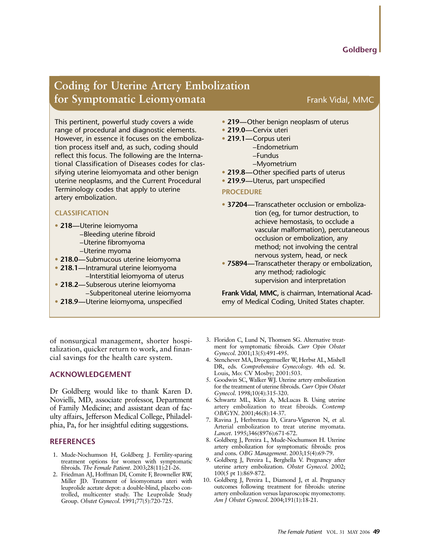## **Coding for Uterine Artery Embolization for Symptomatic Leiomyomata Frank Vidal, MMC**

This pertinent, powerful study covers a wide range of procedural and diagnostic elements. However, in essence it focuses on the embolization process itself and, as such, coding should reflect this focus. The following are the International Classification of Diseases codes for classifying uterine leiomyomata and other benign uterine neoplasms, and the Current Procedural Terminology codes that apply to uterine artery embolization.

#### **CLASSIFICATION**

- **• 218—**Uterine leiomyoma
	- –Bleeding uterine fibroid
	- –Uterine fibromyoma
	- –Uterine myoma
- **• 218.0—**Submucous uterine leiomyoma
- **• 218.1—**Intramural uterine leiomyoma
- –Interstitial leiomyoma of uterus
- **• 218.2—**Subserous uterine leiomyoma –Subperitoneal uterine leiomyoma
- **• 218.9—**Uterine leiomyoma, unspecified

of nonsurgical management, shorter hospitalization, quicker return to work, and financial savings for the health care system.

### **ACKNOWLEDGEMENT**

Dr Goldberg would like to thank Karen D. Novielli, MD, associate professor, Department of Family Medicine; and assistant dean of faculty affairs, Jefferson Medical College, Philadelphia, Pa, for her insightful editing suggestions.

#### **REFERENCES**

- 1. Mude-Nochumson H, Goldberg J. Fertility-sparing treatment options for women with symptomatic fibroids. *The Female Patient*. 2003;28(11):21-26.
- 2. Friedman AJ, Hoffman DI, Comite F, Browneller RW, Miller JD. Treatment of leiomyomata uteri with leuprolide acetate depot: a double-blind, placebo controlled, multicenter study. The Leuprolide Study Group. *Obstet Gynecol*. 1991;77(5):720-725.
- **• 219—**Other benign neoplasm of uterus
- **• 219.0—**Cervix uteri
- **• 219.1—**Corpus uteri
	- –Endometrium
		- –Fundus
		- –Myometrium
- **• 219.8—**Other specified parts of uterus
- **• 219.9—**Uterus, part unspecified

#### **PROCEDURE**

- **• 37204—**Transcatheter occlusion or embolization (eg, for tumor destruction, to achieve hemostasis, to occlude a vascular malformation), percutaneous occlusion or embolization, any method; not involving the central nervous system, head, or neck
- **• 75894—**Transcatheter therapy or embolization, any method; radiologic supervision and interpretation

**Frank Vidal, MMC,** is chairman, International Academy of Medical Coding, United States chapter.

- 3. Floridon C, Lund N, Thomsen SG. Alternative treatment for symptomatic fibroids. *Curr Opin Obstet Gynecol*. 2001;13(5):491-495.
- 4. Stenchever MA, Droegemueller W, Herbst AL, Mishell DR, eds. *Comprehensive Gynecology*. 4th ed. St. Louis, Mo: CV Mosby; 2001:503.
- 5. Goodwin SC, Walker WJ. Uterine artery embolization for the treatment of uterine fibroids. *Curr Opin Obstet Gynecol*. 1998;10(4):315-320.
- 6. Schwartz ML, Klein A, McLucas B. Using uterine artery embolization to treat fibroids. *Contemp OB/GYN*. 2001;46(8):14-37.
- 7. Ravina J, Herbreteau D, Ciraru-Vigneron N, et al. Arterial embolization to treat uterine myomata. *Lancet*. 1995;346(8976):671-672.
- 8. Goldberg J, Pereira L, Mude-Nochumson H. Uterine artery embolization for symptomatic fibroids: pros and cons. *OBG Management*. 2003;15(4):69-79.
- 9. Goldberg J, Pereira L, Berghella V. Pregnancy after uterine artery embolization. *Obstet Gynecol*. 2002; 100(5 pt 1):869-872.
- 10. Goldberg J, Pereira L, Diamond J, et al. Pregnancy outcomes following treatment for fibroids: uterine artery embolization versus laparoscopic myomectomy. *Am J Obstet Gynecol*. 2004;191(1):18-21.